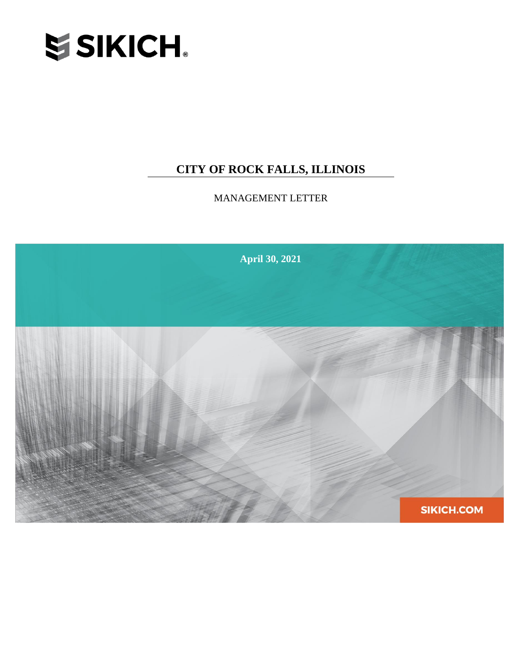

# **CITY OF ROCK FALLS, ILLINOIS**

MANAGEMENT LETTER

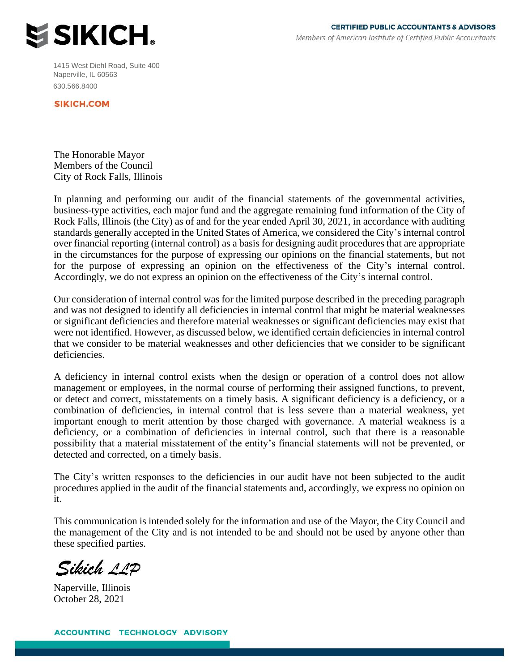

1415 West Diehl Road, Suite 400 Naperville, IL 60563 630.566.8400

**SIKICH.COM** 

The Honorable Mayor Members of the Council City of Rock Falls, Illinois

In planning and performing our audit of the financial statements of the governmental activities, business-type activities, each major fund and the aggregate remaining fund information of the City of Rock Falls, Illinois (the City) as of and for the year ended April 30, 2021, in accordance with auditing standards generally accepted in the United States of America, we considered the City's internal control over financial reporting (internal control) as a basis for designing audit procedures that are appropriate in the circumstances for the purpose of expressing our opinions on the financial statements, but not for the purpose of expressing an opinion on the effectiveness of the City's internal control. Accordingly, we do not express an opinion on the effectiveness of the City's internal control.

Our consideration of internal control was for the limited purpose described in the preceding paragraph and was not designed to identify all deficiencies in internal control that might be material weaknesses or significant deficiencies and therefore material weaknesses or significant deficiencies may exist that were not identified. However, as discussed below, we identified certain deficiencies in internal control that we consider to be material weaknesses and other deficiencies that we consider to be significant deficiencies.

A deficiency in internal control exists when the design or operation of a control does not allow management or employees, in the normal course of performing their assigned functions, to prevent, or detect and correct, misstatements on a timely basis. A significant deficiency is a deficiency, or a combination of deficiencies, in internal control that is less severe than a material weakness, yet important enough to merit attention by those charged with governance. A material weakness is a deficiency, or a combination of deficiencies in internal control, such that there is a reasonable possibility that a material misstatement of the entity's financial statements will not be prevented, or detected and corrected, on a timely basis.

The City's written responses to the deficiencies in our audit have not been subjected to the audit procedures applied in the audit of the financial statements and, accordingly, we express no opinion on it.

This communication is intended solely for the information and use of the Mayor, the City Council and the management of the City and is not intended to be and should not be used by anyone other than these specified parties.

Sikich 11P

Naperville, Illinois October 28, 2021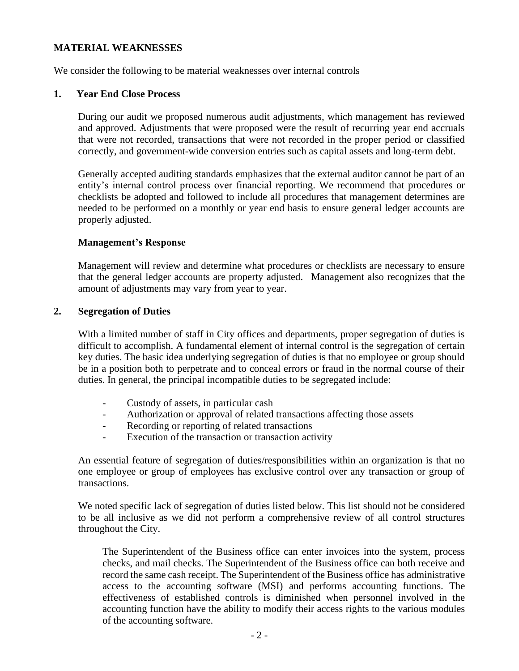## **MATERIAL WEAKNESSES**

We consider the following to be material weaknesses over internal controls

## **1. Year End Close Process**

During our audit we proposed numerous audit adjustments, which management has reviewed and approved. Adjustments that were proposed were the result of recurring year end accruals that were not recorded, transactions that were not recorded in the proper period or classified correctly, and government-wide conversion entries such as capital assets and long-term debt.

Generally accepted auditing standards emphasizes that the external auditor cannot be part of an entity's internal control process over financial reporting. We recommend that procedures or checklists be adopted and followed to include all procedures that management determines are needed to be performed on a monthly or year end basis to ensure general ledger accounts are properly adjusted.

## **Management's Response**

Management will review and determine what procedures or checklists are necessary to ensure that the general ledger accounts are property adjusted. Management also recognizes that the amount of adjustments may vary from year to year.

#### **2. Segregation of Duties**

With a limited number of staff in City offices and departments, proper segregation of duties is difficult to accomplish. A fundamental element of internal control is the segregation of certain key duties. The basic idea underlying segregation of duties is that no employee or group should be in a position both to perpetrate and to conceal errors or fraud in the normal course of their duties. In general, the principal incompatible duties to be segregated include:

- Custody of assets, in particular cash
- Authorization or approval of related transactions affecting those assets
- Recording or reporting of related transactions
- Execution of the transaction or transaction activity

An essential feature of segregation of duties/responsibilities within an organization is that no one employee or group of employees has exclusive control over any transaction or group of transactions.

We noted specific lack of segregation of duties listed below. This list should not be considered to be all inclusive as we did not perform a comprehensive review of all control structures throughout the City.

The Superintendent of the Business office can enter invoices into the system, process checks, and mail checks. The Superintendent of the Business office can both receive and record the same cash receipt. The Superintendent of the Business office has administrative access to the accounting software (MSI) and performs accounting functions. The effectiveness of established controls is diminished when personnel involved in the accounting function have the ability to modify their access rights to the various modules of the accounting software.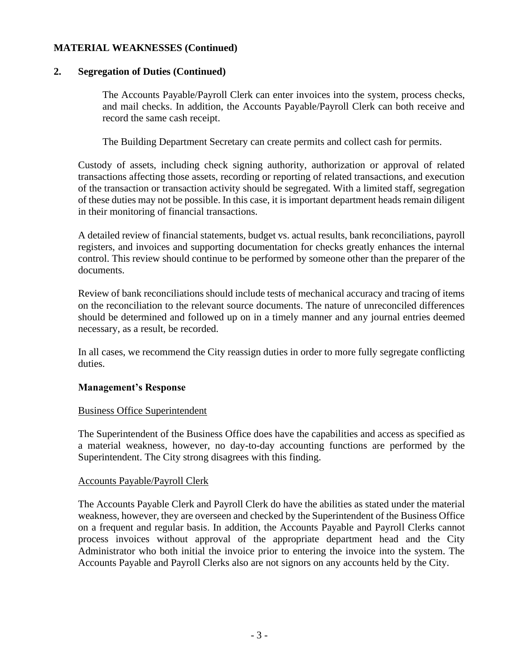## **MATERIAL WEAKNESSES (Continued)**

## **2. Segregation of Duties (Continued)**

The Accounts Payable/Payroll Clerk can enter invoices into the system, process checks, and mail checks. In addition, the Accounts Payable/Payroll Clerk can both receive and record the same cash receipt.

The Building Department Secretary can create permits and collect cash for permits.

Custody of assets, including check signing authority, authorization or approval of related transactions affecting those assets, recording or reporting of related transactions, and execution of the transaction or transaction activity should be segregated. With a limited staff, segregation of these duties may not be possible. In this case, it is important department heads remain diligent in their monitoring of financial transactions.

A detailed review of financial statements, budget vs. actual results, bank reconciliations, payroll registers, and invoices and supporting documentation for checks greatly enhances the internal control. This review should continue to be performed by someone other than the preparer of the documents.

Review of bank reconciliations should include tests of mechanical accuracy and tracing of items on the reconciliation to the relevant source documents. The nature of unreconciled differences should be determined and followed up on in a timely manner and any journal entries deemed necessary, as a result, be recorded.

In all cases, we recommend the City reassign duties in order to more fully segregate conflicting duties.

## **Management's Response**

## Business Office Superintendent

The Superintendent of the Business Office does have the capabilities and access as specified as a material weakness, however, no day-to-day accounting functions are performed by the Superintendent. The City strong disagrees with this finding.

## Accounts Payable/Payroll Clerk

The Accounts Payable Clerk and Payroll Clerk do have the abilities as stated under the material weakness, however, they are overseen and checked by the Superintendent of the Business Office on a frequent and regular basis. In addition, the Accounts Payable and Payroll Clerks cannot process invoices without approval of the appropriate department head and the City Administrator who both initial the invoice prior to entering the invoice into the system. The Accounts Payable and Payroll Clerks also are not signors on any accounts held by the City.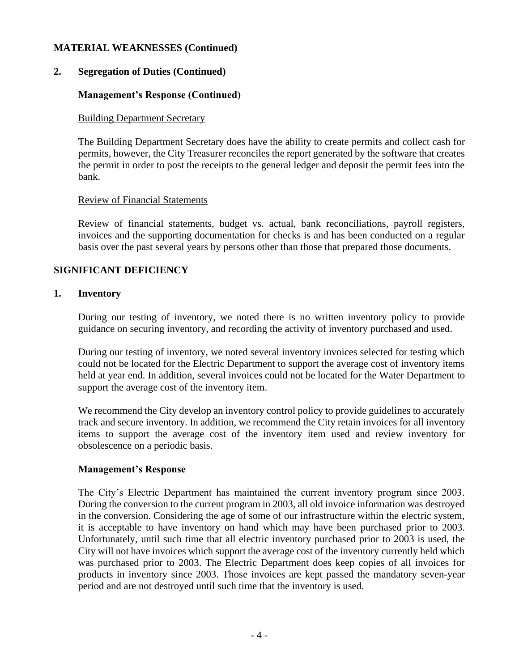## **MATERIAL WEAKNESSES (Continued)**

## **2. Segregation of Duties (Continued)**

## **Management's Response (Continued)**

## Building Department Secretary

The Building Department Secretary does have the ability to create permits and collect cash for permits, however, the City Treasurer reconciles the report generated by the software that creates the permit in order to post the receipts to the general ledger and deposit the permit fees into the bank.

#### Review of Financial Statements

Review of financial statements, budget vs. actual, bank reconciliations, payroll registers, invoices and the supporting documentation for checks is and has been conducted on a regular basis over the past several years by persons other than those that prepared those documents.

## **SIGNIFICANT DEFICIENCY**

## **1. Inventory**

During our testing of inventory, we noted there is no written inventory policy to provide guidance on securing inventory, and recording the activity of inventory purchased and used.

During our testing of inventory, we noted several inventory invoices selected for testing which could not be located for the Electric Department to support the average cost of inventory items held at year end. In addition, several invoices could not be located for the Water Department to support the average cost of the inventory item.

We recommend the City develop an inventory control policy to provide guidelines to accurately track and secure inventory. In addition, we recommend the City retain invoices for all inventory items to support the average cost of the inventory item used and review inventory for obsolescence on a periodic basis.

## **Management's Response**

The City's Electric Department has maintained the current inventory program since 2003. During the conversion to the current program in 2003, all old invoice information was destroyed in the conversion. Considering the age of some of our infrastructure within the electric system, it is acceptable to have inventory on hand which may have been purchased prior to 2003. Unfortunately, until such time that all electric inventory purchased prior to 2003 is used, the City will not have invoices which support the average cost of the inventory currently held which was purchased prior to 2003. The Electric Department does keep copies of all invoices for products in inventory since 2003. Those invoices are kept passed the mandatory seven-year period and are not destroyed until such time that the inventory is used.